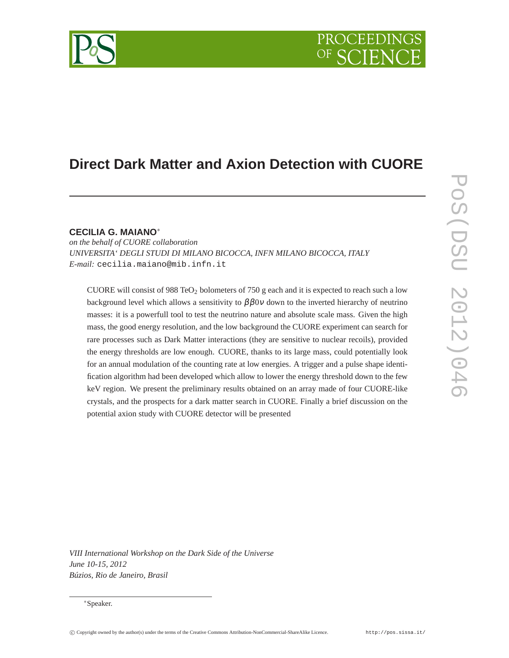# **Direct Dark Matter and Axion Detection with CUORE**

# **CECILIA G. MAIANO**<sup>∗</sup>

*on the behalf of CUORE collaboration UNIVERSITA' DEGLI STUDI DI MILANO BICOCCA, INFN MILANO BICOCCA, ITALY E-mail:* cecilia.maiano@mib.infn.it

CUORE will consist of 988 TeO<sub>2</sub> bolometers of 750 g each and it is expected to reach such a low background level which allows a sensitivity to  $\beta\beta 0v$  down to the inverted hierarchy of neutrino masses: it is a powerfull tool to test the neutrino nature and absolute scale mass. Given the high mass, the good energy resolution, and the low background the CUORE experiment can search for rare processes such as Dark Matter interactions (they are sensitive to nuclear recoils), provided the energy thresholds are low enough. CUORE, thanks to its large mass, could potentially look for an annual modulation of the counting rate at low energies. A trigger and a pulse shape identification algorithm had been developed which allow to lower the energy threshold down to the few keV region. We present the preliminary results obtained on an array made of four CUORE-like crystals, and the prospects for a dark matter search in CUORE. Finally a brief discussion on the potential axion study with CUORE detector will be presented

*VIII International Workshop on the Dark Side of the Universe June 10-15, 2012 Búzios, Rio de Janeiro, Brasil*

<sup>∗</sup>Speaker.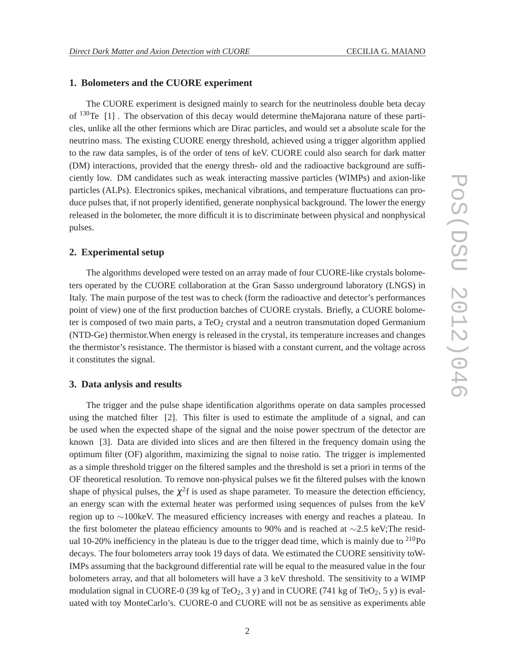## **1. Bolometers and the CUORE experiment**

The CUORE experiment is designed mainly to search for the neutrinoless double beta decay of  $130$ Te [1]. The observation of this decay would determine theMajorana nature of these particles, unlike all the other fermions which are Dirac particles, and would set a absolute scale for the neutrino mass. The existing CUORE energy threshold, achieved using a trigger algorithm applied to the raw data samples, is of the order of tens of keV. CUORE could also search for dark matter (DM) interactions, provided that the energy thresh- old and the radioactive background are sufficiently low. DM candidates such as weak interacting massive particles (WIMPs) and axion-like particles (ALPs). Electronics spikes, mechanical vibrations, and temperature fluctuations can produce pulses that, if not properly identified, generate nonphysical background. The lower the energy released in the bolometer, the more difficult it is to discriminate between physical and nonphysical pulses.

#### **2. Experimental setup**

The algorithms developed were tested on an array made of four CUORE-like crystals bolometers operated by the CUORE collaboration at the Gran Sasso underground laboratory (LNGS) in Italy. The main purpose of the test was to check (form the radioactive and detector's performances point of view) one of the first production batches of CUORE crystals. Briefly, a CUORE bolometer is composed of two main parts, a  $TeO<sub>2</sub>$  crystal and a neutron transmutation doped Germanium (NTD-Ge) thermistor.When energy is released in the crystal, its temperature increases and changes the thermistor's resistance. The thermistor is biased with a constant current, and the voltage across it constitutes the signal.

#### **3. Data anlysis and results**

The trigger and the pulse shape identification algorithms operate on data samples processed using the matched filter [2]. This filter is used to estimate the amplitude of a signal, and can be used when the expected shape of the signal and the noise power spectrum of the detector are known [3]. Data are divided into slices and are then filtered in the frequency domain using the optimum filter (OF) algorithm, maximizing the signal to noise ratio. The trigger is implemented as a simple threshold trigger on the filtered samples and the threshold is set a priori in terms of the OF theoretical resolution. To remove non-physical pulses we fit the filtered pulses with the known shape of physical pulses, the  $\chi^2$ f is used as shape parameter. To measure the detection efficiency, an energy scan with the external heater was performed using sequences of pulses from the keV region up to ∼100keV. The measured efficiency increases with energy and reaches a plateau. In the first bolometer the plateau efficiency amounts to 90% and is reached at ∼2.5 keV;The residual 10-20% inefficiency in the plateau is due to the trigger dead time, which is mainly due to  $^{210}P^{\circ}$ decays. The four bolometers array took 19 days of data. We estimated the CUORE sensitivity toW-IMPs assuming that the background differential rate will be equal to the measured value in the four bolometers array, and that all bolometers will have a 3 keV threshold. The sensitivity to a WIMP modulation signal in CUORE-0 (39 kg of TeO<sub>2</sub>, 3 y) and in CUORE (741 kg of TeO<sub>2</sub>, 5 y) is evaluated with toy MonteCarlo's. CUORE-0 and CUORE will not be as sensitive as experiments able